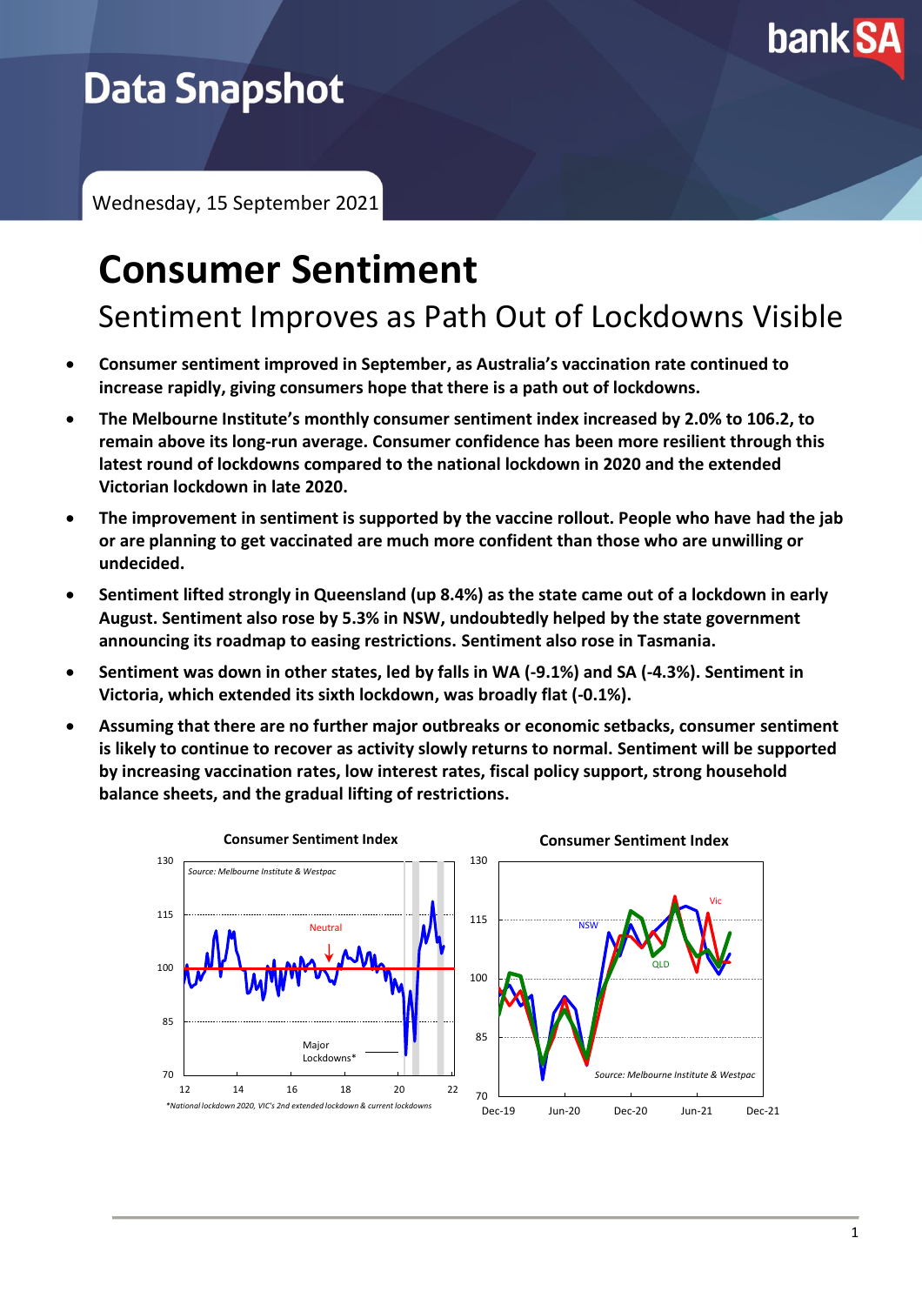

# **Data Snapshot**

Wednesday, 15 September 2021

# **Consumer Sentiment**

Sentiment Improves as Path Out of Lockdowns Visible

- **Consumer sentiment improved in September, as Australia's vaccination rate continued to increase rapidly, giving consumers hope that there is a path out of lockdowns.**
- **The Melbourne Institute's monthly consumer sentiment index increased by 2.0% to 106.2, to remain above its long-run average. Consumer confidence has been more resilient through this latest round of lockdowns compared to the national lockdown in 2020 and the extended Victorian lockdown in late 2020.**
- **The improvement in sentiment is supported by the vaccine rollout. People who have had the jab or are planning to get vaccinated are much more confident than those who are unwilling or undecided.**
- **Sentiment lifted strongly in Queensland (up 8.4%) as the state came out of a lockdown in early August. Sentiment also rose by 5.3% in NSW, undoubtedly helped by the state government announcing its roadmap to easing restrictions. Sentiment also rose in Tasmania.**
- **Sentiment was down in other states, led by falls in WA (-9.1%) and SA (-4.3%). Sentiment in Victoria, which extended its sixth lockdown, was broadly flat (-0.1%).**
- **Assuming that there are no further major outbreaks or economic setbacks, consumer sentiment is likely to continue to recover as activity slowly returns to normal. Sentiment will be supported by increasing vaccination rates, low interest rates, fiscal policy support, strong household balance sheets, and the gradual lifting of restrictions.**

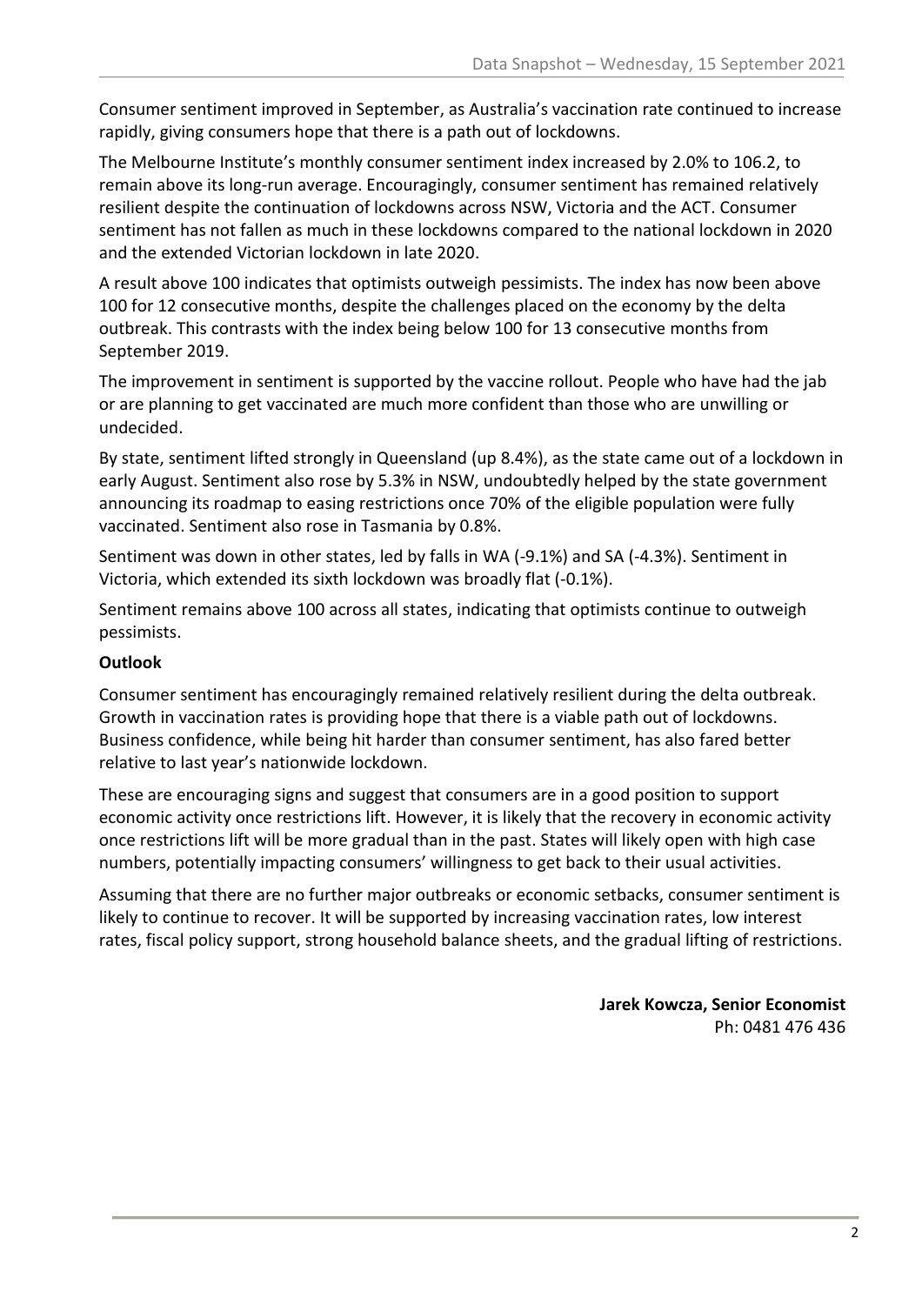Consumer sentiment improved in September, as Australia's vaccination rate continued to increase rapidly, giving consumers hope that there is a path out of lockdowns.

The Melbourne Institute's monthly consumer sentiment index increased by 2.0% to 106.2, to remain above its long-run average. Encouragingly, consumer sentiment has remained relatively resilient despite the continuation of lockdowns across NSW, Victoria and the ACT. Consumer sentiment has not fallen as much in these lockdowns compared to the national lockdown in 2020 and the extended Victorian lockdown in late 2020.

A result above 100 indicates that optimists outweigh pessimists. The index has now been above 100 for 12 consecutive months, despite the challenges placed on the economy by the delta outbreak. This contrasts with the index being below 100 for 13 consecutive months from September 2019.

The improvement in sentiment is supported by the vaccine rollout. People who have had the jab or are planning to get vaccinated are much more confident than those who are unwilling or undecided.

By state, sentiment lifted strongly in Queensland (up 8.4%), as the state came out of a lockdown in early August. Sentiment also rose by 5.3% in NSW, undoubtedly helped by the state government announcing its roadmap to easing restrictions once 70% of the eligible population were fully vaccinated. Sentiment also rose in Tasmania by 0.8%.

Sentiment was down in other states, led by falls in WA (-9.1%) and SA (-4.3%). Sentiment in Victoria, which extended its sixth lockdown was broadly flat (-0.1%).

Sentiment remains above 100 across all states, indicating that optimists continue to outweigh pessimists.

## **Outlook**

Consumer sentiment has encouragingly remained relatively resilient during the delta outbreak. Growth in vaccination rates is providing hope that there is a viable path out of lockdowns. Business confidence, while being hit harder than consumer sentiment, has also fared better relative to last year's nationwide lockdown.

These are encouraging signs and suggest that consumers are in a good position to support economic activity once restrictions lift. However, it is likely that the recovery in economic activity once restrictions lift will be more gradual than in the past. States will likely open with high case numbers, potentially impacting consumers' willingness to get back to their usual activities.

Assuming that there are no further major outbreaks or economic setbacks, consumer sentiment is likely to continue to recover. It will be supported by increasing vaccination rates, low interest rates, fiscal policy support, strong household balance sheets, and the gradual lifting of restrictions.

> **Jarek Kowcza, Senior Economist** Ph: 0481 476 436